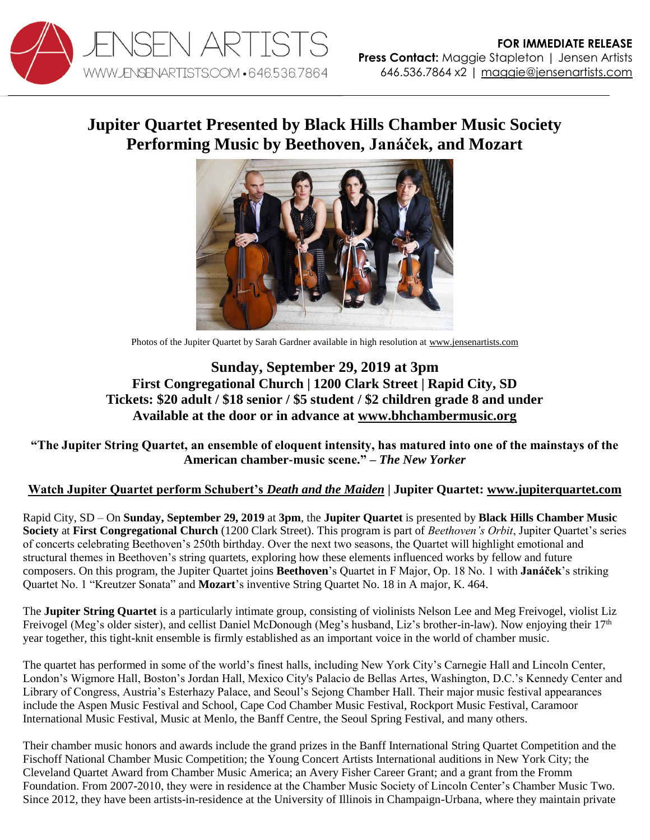

## **Jupiter Quartet Presented by Black Hills Chamber Music Society Performing Music by Beethoven, Janáček, and Mozart**



Photos of the Jupiter Quartet by Sarah Gardner available in high resolution at [www.jensenartists.com](http://www.jensenartists.com/)

## **Sunday, September 29, 2019 at 3pm First Congregational Church | 1200 Clark Street | Rapid City, SD Tickets: \$20 adult / \$18 senior / \$5 student / \$2 children grade 8 and under Available at the door or in advance at [www.bhchambermusic.org](http://www.bhchambermusic.org/)**

**"The Jupiter String Quartet, an ensemble of eloquent intensity, has matured into one of the mainstays of the American chamber-music scene." –** *The New Yorker*

## **[Watch Jupiter Quartet perform Schubert's](https://vimeo.com/115453429)** *Death and the Maiden* **| Jupiter Quartet: [www.jupiterquartet.com](http://www.jupiterquartet.com/)**

Rapid City, SD – On **Sunday, September 29, 2019** at **3pm**, the **Jupiter Quartet** is presented by **Black Hills Chamber Music Society** at **First Congregational Church** (1200 Clark Street). This program is part of *Beethoven's Orbit*, Jupiter Quartet's series of concerts celebrating Beethoven's 250th birthday. Over the next two seasons, the Quartet will highlight emotional and structural themes in Beethoven's string quartets, exploring how these elements influenced works by fellow and future composers. On this program, the Jupiter Quartet joins **Beethoven**'s Quartet in F Major, Op. 18 No. 1 with **Janáček**'s striking Quartet No. 1 "Kreutzer Sonata" and **Mozart**'s inventive String Quartet No. 18 in A major, K. 464.

The **Jupiter String Quartet** is a particularly intimate group, consisting of violinists Nelson Lee and Meg Freivogel, violist Liz Freivogel (Meg's older sister), and cellist Daniel McDonough (Meg's husband, Liz's brother-in-law). Now enjoying their 17<sup>th</sup> year together, this tight-knit ensemble is firmly established as an important voice in the world of chamber music.

The quartet has performed in some of the world's finest halls, including New York City's Carnegie Hall and Lincoln Center, London's Wigmore Hall, Boston's Jordan Hall, Mexico City's Palacio de Bellas Artes, Washington, D.C.'s Kennedy Center and Library of Congress, Austria's Esterhazy Palace, and Seoul's Sejong Chamber Hall. Their major music festival appearances include the Aspen Music Festival and School, Cape Cod Chamber Music Festival, Rockport Music Festival, Caramoor International Music Festival, Music at Menlo, the Banff Centre, the Seoul Spring Festival, and many others.

Their chamber music honors and awards include the grand prizes in the Banff International String Quartet Competition and the Fischoff National Chamber Music Competition; the Young Concert Artists International auditions in New York City; the Cleveland Quartet Award from Chamber Music America; an Avery Fisher Career Grant; and a grant from the Fromm Foundation. From 2007-2010, they were in residence at the Chamber Music Society of Lincoln Center's Chamber Music Two. Since 2012, they have been artists-in-residence at the University of Illinois in Champaign-Urbana, where they maintain private